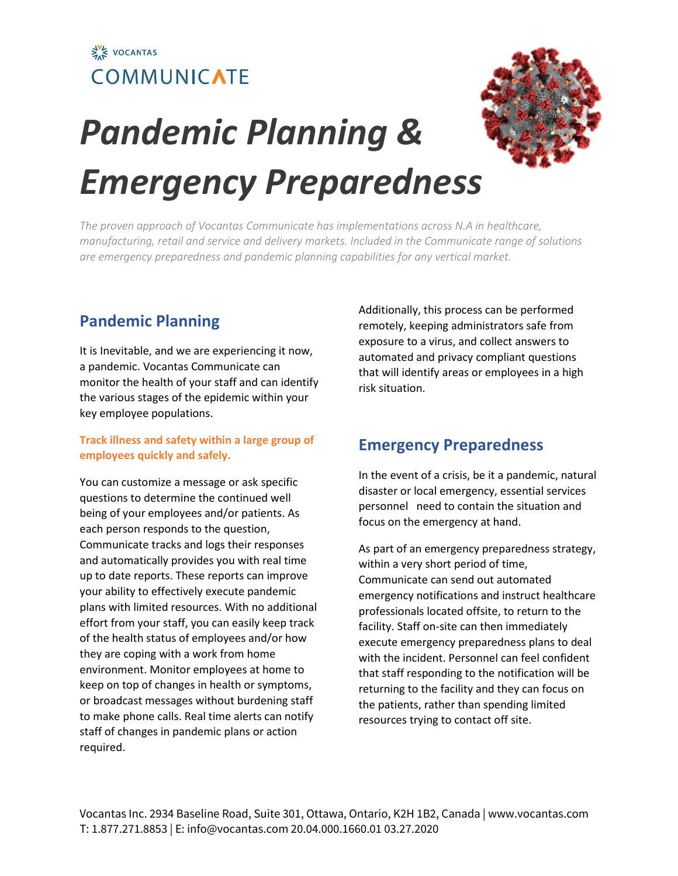



# *Pandemic Planning & Emergency Preparedness*

*The proven approach of Vocantas Communicate has implementations across N.A in healthcare, manufacturing, retail and service and delivery markets. Included in the Communicate range of solutions are emergency preparedness and pandemic planning capabilities for any vertical market.*

#### **Pandemic Planning**

It is Inevitable, and we are experiencing it now, a pandemic. Vocantas Communicate can monitor the health of your staff and can identify the various stages of the epidemic within your key employee populations.

#### **Track illness and safety within a large group of employees quickly and safely.**

You can customize a message or ask specific questions to determine the continued well being of your employees and/or patients. As each person responds to the question, Communicate tracks and logs their responses and automatically provides you with real time up to date reports. These reports can improve your ability to effectively execute pandemic plans with limited resources. With no additional effort from your staff, you can easily keep track of the health status of employees and/or how they are coping with a work from home environment. Monitor employees at home to keep on top of changes in health or symptoms, or broadcast messages without burdening staff to make phone calls. Real time alerts can notify staff of changes in pandemic plans or action required.

Additionally, this process can be performed remotely, keeping administrators safe from exposure to a virus, and collect answers to automated and privacy compliant questions that will identify areas or employees in a high risk situation.

#### **Emergency Preparedness**

In the event of a crisis, be it a pandemic, natural disaster or local emergency, essential services personnel need to contain the situation and focus on the emergency at hand.

As part of an emergency preparedness strategy, within a very short period of time, Communicate can send out automated emergency notifications and instruct healthcare professionals located offsite, to return to the facility. Staff on-site can then immediately execute emergency preparedness plans to deal with the incident. Personnel can feel confident that staff responding to the notification will be returning to the facility and they can focus on the patients, rather than spending limited resources trying to contact off site.